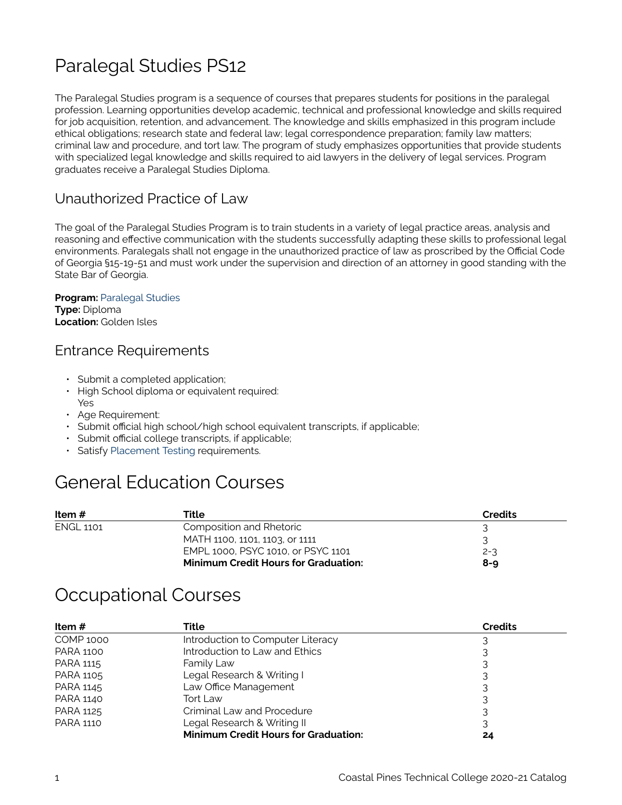## Paralegal Studies PS12

The Paralegal Studies program is a sequence of courses that prepares students for positions in the paralegal profession. Learning opportunities develop academic, technical and professional knowledge and skills required for job acquisition, retention, and advancement. The knowledge and skills emphasized in this program include ethical obligations; research state and federal law; legal correspondence preparation; family law matters; criminal law and procedure, and tort law. The program of study emphasizes opportunities that provide students with specialized legal knowledge and skills required to aid lawyers in the delivery of legal services. Program graduates receive a Paralegal Studies Diploma.

#### Unauthorized Practice of Law

The goal of the Paralegal Studies Program is to train students in a variety of legal practice areas, analysis and reasoning and effective communication with the students successfully adapting these skills to professional legal environments. Paralegals shall not engage in the unauthorized practice of law as proscribed by the Official Code of Georgia §15-19-51 and must work under the supervision and direction of an attorney in good standing with the State Bar of Georgia.

#### **Program: [Paralegal Studies](https://catalog.coastalpines.edu/paralegal-studies) Type:** Diploma **Location:** Golden Isles

#### Entrance Requirements

- Submit a completed application;
- High School diploma or equivalent required: Yes
- Age Requirement:
- Submit official high school/high school equivalent transcripts, if applicable;
- Submit official college transcripts, if applicable;
- Satisfy [Placement Testing](https://catalog.coastalpines.edu/sites/default/files/Placement%20Testing.docx) requirements.

## General Education Courses

| Item #           | Title                                       | Credits |
|------------------|---------------------------------------------|---------|
| <b>ENGL 1101</b> | Composition and Rhetoric                    |         |
|                  | MATH 1100, 1101, 1103, or 1111              |         |
|                  | EMPL 1000, PSYC 1010, or PSYC 1101          | $2 - 3$ |
|                  | <b>Minimum Credit Hours for Graduation:</b> | $8 - 9$ |

## Occupational Courses

| Item $#$         | Title                                       | <b>Credits</b> |
|------------------|---------------------------------------------|----------------|
| <b>COMP 1000</b> | Introduction to Computer Literacy           |                |
| <b>PARA 1100</b> | Introduction to Law and Ethics              |                |
| PARA 1115        | Family Law                                  |                |
| PARA 1105        | Legal Research & Writing I                  |                |
| PARA 1145        | Law Office Management                       | 3              |
| <b>PARA 1140</b> | Tort Law                                    |                |
| <b>PARA 1125</b> | Criminal Law and Procedure                  |                |
| <b>PARA 1110</b> | Legal Research & Writing II                 |                |
|                  | <b>Minimum Credit Hours for Graduation:</b> |                |